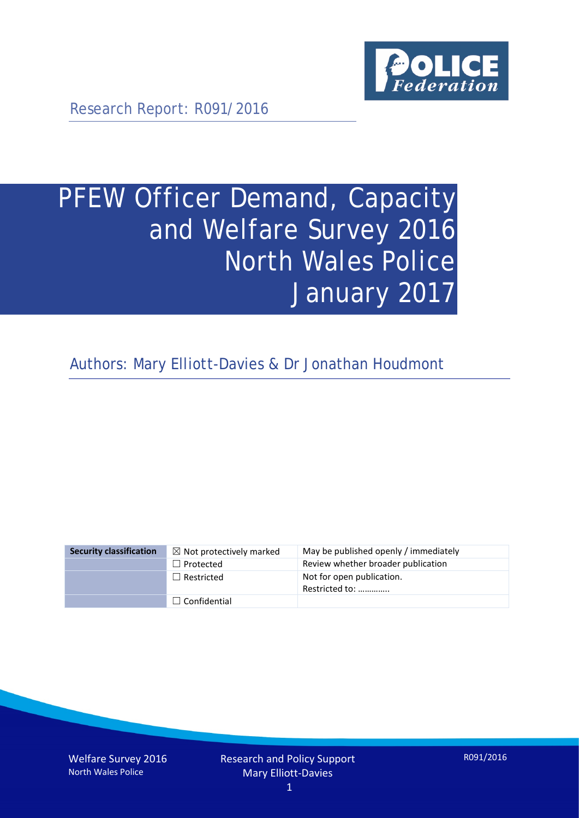

Research Report: R091/2016

# PFEW Officer Demand, Capacity and Welfare Survey 2016 North Wales Police January 2017

Authors: Mary Elliott-Davies & Dr Jonathan Houdmont

| <b>Security classification</b> | $\boxtimes$ Not protectively marked | May be published openly / immediately       |
|--------------------------------|-------------------------------------|---------------------------------------------|
|                                | $\Box$ Protected                    | Review whether broader publication          |
|                                | $\Box$ Restricted                   | Not for open publication.<br>Restricted to: |
|                                | $\Box$ Confidential                 |                                             |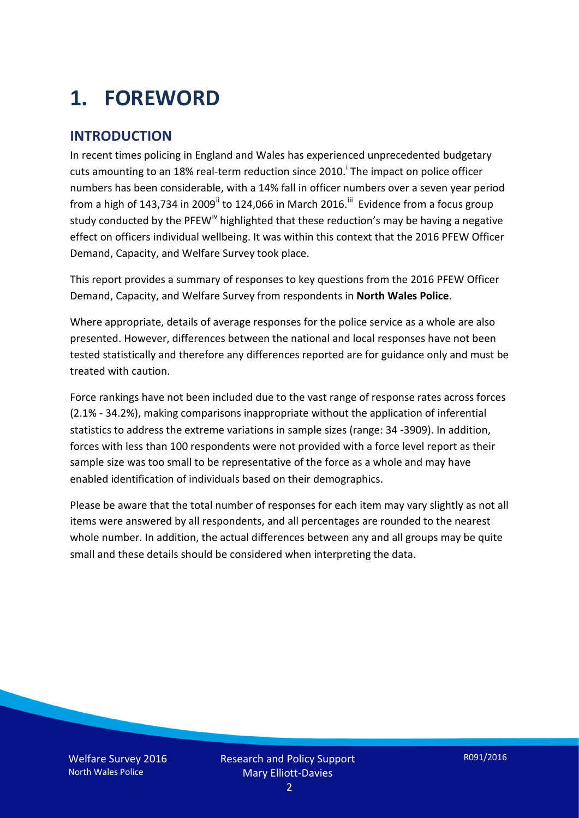## **1. FOREWORD**

#### **INTRODUCTION**

In recent times policing in England and Wales has experienced unprecedented budgetary cuts amount[i](#page-15-0)ng to an 18% real-term reduction since 2010.<sup>1</sup> The impact on police officer numbers has been considerable, with a 14% fall in officer numbers over a seven year period from a high of 143,734 in 2009<sup>[ii](#page-15-1)</sup> to 124,066 in March 2016.<sup>[iii](#page-15-2)</sup> Evidence from a focus group study conducted by the PFEW<sup>[iv](#page-15-3)</sup> highlighted that these reduction's may be having a negative effect on officers individual wellbeing. It was within this context that the 2016 PFEW Officer Demand, Capacity, and Welfare Survey took place.

This report provides a summary of responses to key questions from the 2016 PFEW Officer Demand, Capacity, and Welfare Survey from respondents in **North Wales Police**.

Where appropriate, details of average responses for the police service as a whole are also presented. However, differences between the national and local responses have not been tested statistically and therefore any differences reported are for guidance only and must be treated with caution.

Force rankings have not been included due to the vast range of response rates across forces (2.1% - 34.2%), making comparisons inappropriate without the application of inferential statistics to address the extreme variations in sample sizes (range: 34 -3909). In addition, forces with less than 100 respondents were not provided with a force level report as their sample size was too small to be representative of the force as a whole and may have enabled identification of individuals based on their demographics.

Please be aware that the total number of responses for each item may vary slightly as not all items were answered by all respondents, and all percentages are rounded to the nearest whole number. In addition, the actual differences between any and all groups may be quite small and these details should be considered when interpreting the data.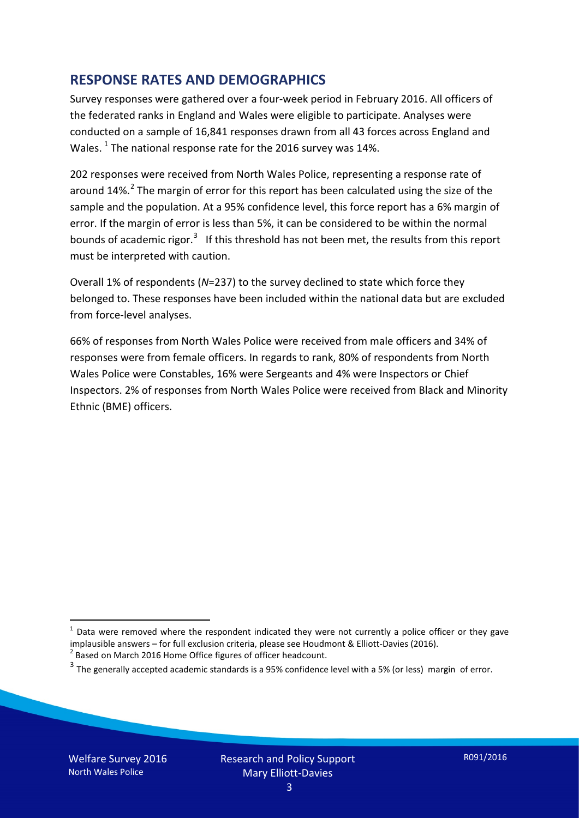#### **RESPONSE RATES AND DEMOGRAPHICS**

Survey responses were gathered over a four-week period in February 2016. All officers of the federated ranks in England and Wales were eligible to participate. Analyses were conducted on a sample of 16,841 responses drawn from all 43 forces across England and Wales.  $^1$  $^1$  The national response rate for the 2016 survey was 14%.

202 responses were received from North Wales Police, representing a response rate of around  $14\%$ .<sup>[2](#page-2-1)</sup> The margin of error for this report has been calculated using the size of the sample and the population. At a 95% confidence level, this force report has a 6% margin of error. If the margin of error is less than 5%, it can be considered to be within the normal bounds of academic rigor.<sup>[3](#page-2-2)</sup> If this threshold has not been met, the results from this report must be interpreted with caution.

Overall 1% of respondents (*N*=237) to the survey declined to state which force they belonged to. These responses have been included within the national data but are excluded from force-level analyses.

66% of responses from North Wales Police were received from male officers and 34% of responses were from female officers. In regards to rank, 80% of respondents from North Wales Police were Constables, 16% were Sergeants and 4% were Inspectors or Chief Inspectors. 2% of responses from North Wales Police were received from Black and Minority Ethnic (BME) officers.

-

<span id="page-2-0"></span> $1$  Data were removed where the respondent indicated they were not currently a police officer or they gave implausible answers – for full exclusion criteria, please see Houdmont & Elliott-Davies (2016).<br><sup>2</sup> Based on March 2016 Home Office figures of officer headcount.

<span id="page-2-1"></span>

<span id="page-2-2"></span> $3$  The generally accepted academic standards is a 95% confidence level with a 5% (or less) margin of error.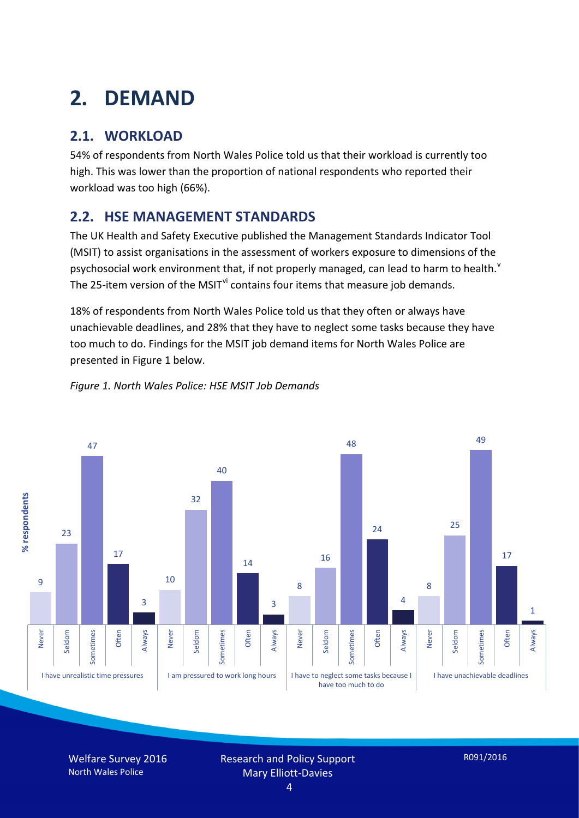## **2. DEMAND**

### **2.1. WORKLOAD**

54% of respondents from North Wales Police told us that their workload is currently too high. This was lower than the proportion of national respondents who reported their workload was too high (66%).

#### **2.2. HSE MANAGEMENT STANDARDS**

The UK Health and Safety Executive published the Management Standards Indicator Tool (MSIT) to assist organisations in the assessment of workers exposure to dimensions of the psychosocial work en[v](#page-15-4)ironment that, if not properly managed, can lead to harm to health.<sup>v</sup> The 25-item version of the MSIT<sup>[vi](#page-15-5)</sup> contains four items that measure job demands.

18% of respondents from North Wales Police told us that they often or always have unachievable deadlines, and 28% that they have to neglect some tasks because they have too much to do. Findings for the MSIT job demand items for North Wales Police are presented in Figure 1 below.





Welfare Survey 2016 North Wales Police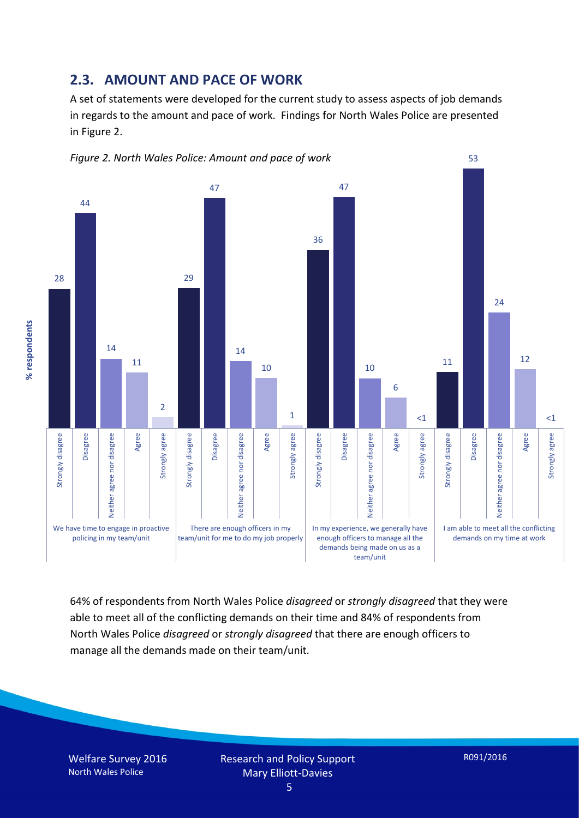#### **2.3. AMOUNT AND PACE OF WORK**

A set of statements were developed for the current study to assess aspects of job demands in regards to the amount and pace of work. Findings for North Wales Police are presented in Figure 2.



64% of respondents from North Wales Police *disagreed* or *strongly disagreed* that they were able to meet all of the conflicting demands on their time and 84% of respondents from North Wales Police *disagreed* or *strongly disagreed* that there are enough officers to manage all the demands made on their team/unit.

Welfare Survey 2016 North Wales Police

% respondents **% respondents**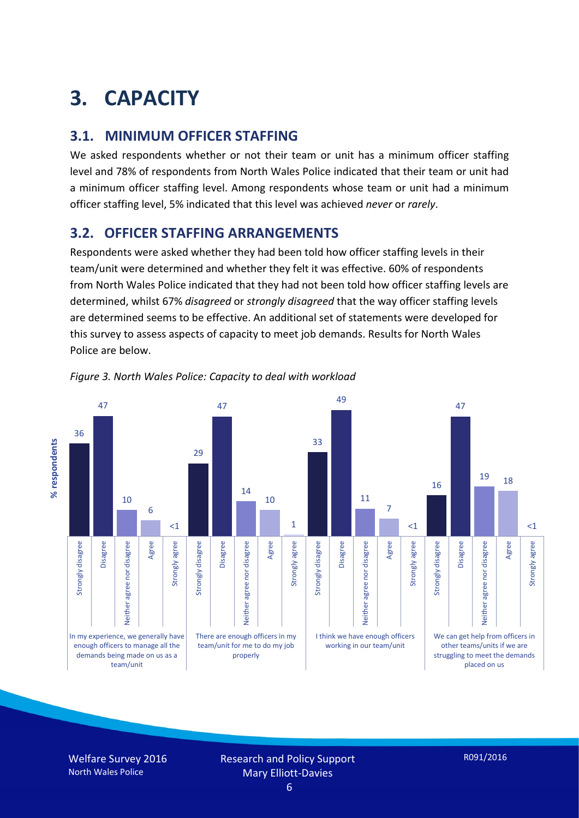## **3. CAPACITY**

#### **3.1. MINIMUM OFFICER STAFFING**

We asked respondents whether or not their team or unit has a minimum officer staffing level and 78% of respondents from North Wales Police indicated that their team or unit had a minimum officer staffing level. Among respondents whose team or unit had a minimum officer staffing level, 5% indicated that this level was achieved *never* or *rarely*.

#### **3.2. OFFICER STAFFING ARRANGEMENTS**

Respondents were asked whether they had been told how officer staffing levels in their team/unit were determined and whether they felt it was effective. 60% of respondents from North Wales Police indicated that they had not been told how officer staffing levels are determined, whilst 67% *disagreed* or *strongly disagreed* that the way officer staffing levels are determined seems to be effective. An additional set of statements were developed for this survey to assess aspects of capacity to meet job demands. Results for North Wales Police are below.





Welfare Survey 2016 North Wales Police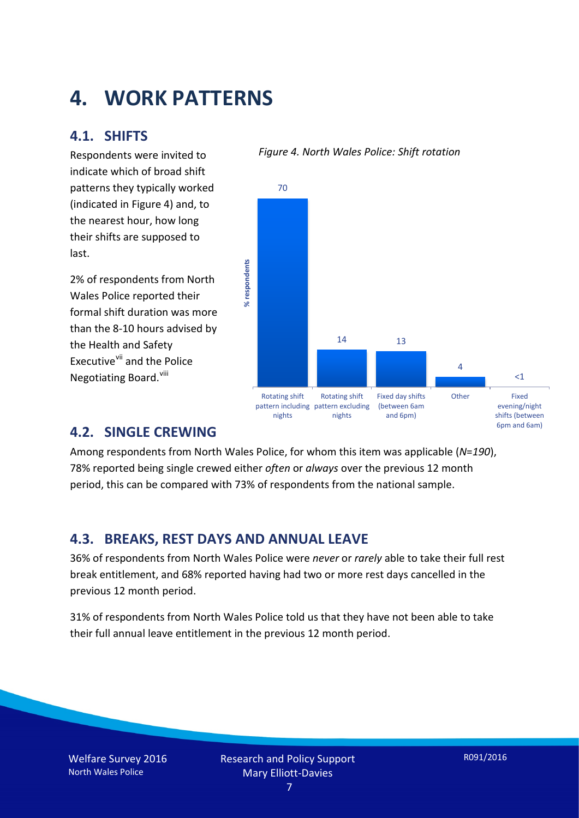### **4. WORK PATTERNS**

#### **4.1. SHIFTS**

Respondents were invited to indicate which of broad shift patterns they typically worked (indicated in Figure 4) and, to the nearest hour, how long their shifts are supposed to last.

2% of respondents from North Wales Police reported their formal shift duration was more than the 8-10 hours advised by the Health and Safety Executive<sup>[vii](#page-15-6)</sup> and the Police Negotiating Board.<sup>[viii](#page-15-7)</sup>

#### *Figure 4. North Wales Police: Shift rotation*



#### **4.2. SINGLE CREWING**

Among respondents from North Wales Police, for whom this item was applicable (*N*=*190*), 78% reported being single crewed either *often* or *always* over the previous 12 month period, this can be compared with 73% of respondents from the national sample.

#### **4.3. BREAKS, REST DAYS AND ANNUAL LEAVE**

36% of respondents from North Wales Police were *never* or *rarely* able to take their full rest break entitlement, and 68% reported having had two or more rest days cancelled in the previous 12 month period.

31% of respondents from North Wales Police told us that they have not been able to take their full annual leave entitlement in the previous 12 month period.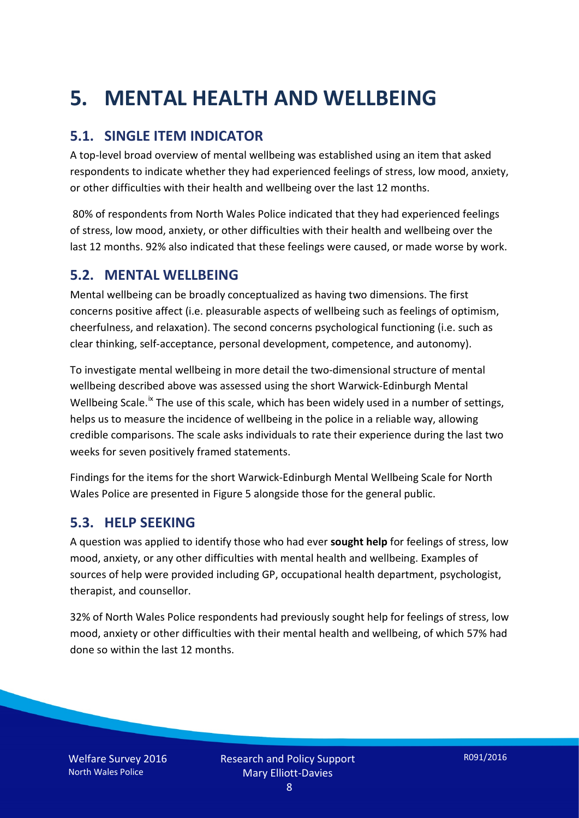## **5. MENTAL HEALTH AND WELLBEING**

#### **5.1. SINGLE ITEM INDICATOR**

A top-level broad overview of mental wellbeing was established using an item that asked respondents to indicate whether they had experienced feelings of stress, low mood, anxiety, or other difficulties with their health and wellbeing over the last 12 months.

80% of respondents from North Wales Police indicated that they had experienced feelings of stress, low mood, anxiety, or other difficulties with their health and wellbeing over the last 12 months. 92% also indicated that these feelings were caused, or made worse by work.

#### **5.2. MENTAL WELLBEING**

Mental wellbeing can be broadly conceptualized as having two dimensions. The first concerns positive affect (i.e. pleasurable aspects of wellbeing such as feelings of optimism, cheerfulness, and relaxation). The second concerns psychological functioning (i.e. such as clear thinking, self-acceptance, personal development, competence, and autonomy).

To investigate mental wellbeing in more detail the two-dimensional structure of mental wellbeing described above was assessed using the short Warwick-Edinburgh Mental Wellbeing Scale.<sup>[ix](#page-15-8)</sup> The use of this scale, which has been widely used in a number of settings, helps us to measure the incidence of wellbeing in the police in a reliable way, allowing credible comparisons. The scale asks individuals to rate their experience during the last two weeks for seven positively framed statements.

Findings for the items for the short Warwick-Edinburgh Mental Wellbeing Scale for North Wales Police are presented in Figure 5 alongside those for the general public.

#### **5.3. HELP SEEKING**

A question was applied to identify those who had ever **sought help** for feelings of stress, low mood, anxiety, or any other difficulties with mental health and wellbeing. Examples of sources of help were provided including GP, occupational health department, psychologist, therapist, and counsellor.

32% of North Wales Police respondents had previously sought help for feelings of stress, low mood, anxiety or other difficulties with their mental health and wellbeing, of which 57% had done so within the last 12 months.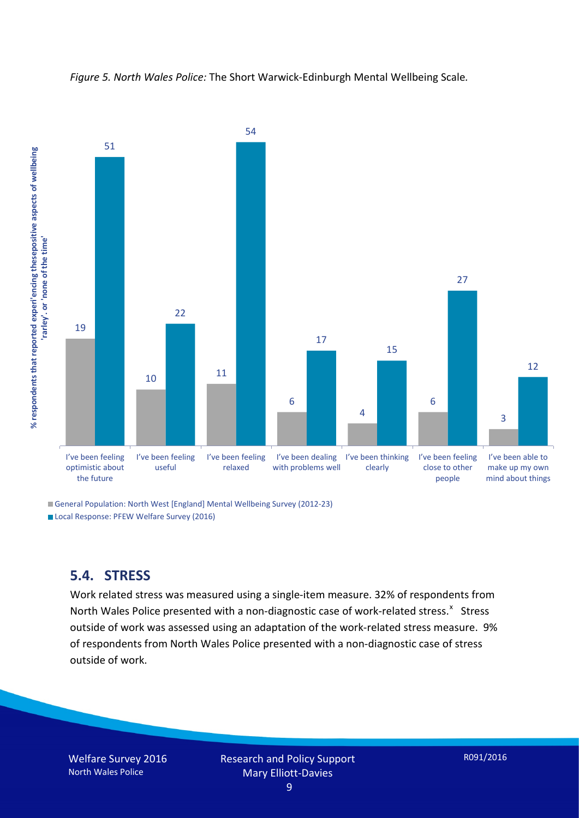



General Population: North West [England] Mental Wellbeing Survey (2012-23) Local Response: PFEW Welfare Survey (2016)

#### **5.4. STRESS**

Work related stress was measured using a single-item measure. 32% of respondents from North Wales Police presented with a non-diagnostic case of work-related stress.<sup>[x](#page-15-9)</sup> Stress outside of work was assessed using an adaptation of the work-related stress measure. 9% of respondents from North Wales Police presented with a non-diagnostic case of stress outside of work.

Welfare Survey 2016 North Wales Police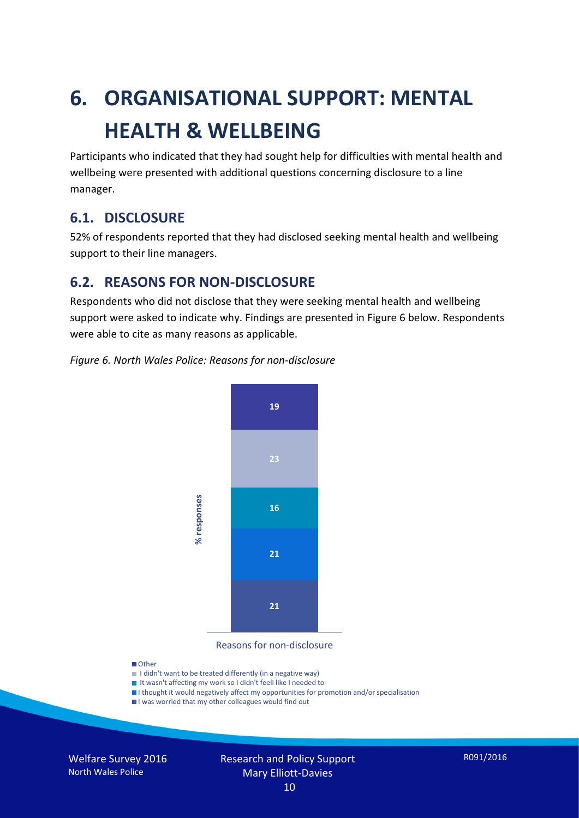# **6. ORGANISATIONAL SUPPORT: MENTAL HEALTH & WELLBEING**

Participants who indicated that they had sought help for difficulties with mental health and wellbeing were presented with additional questions concerning disclosure to a line manager.

#### **6.1. DISCLOSURE**

52% of respondents reported that they had disclosed seeking mental health and wellbeing support to their line managers.

#### **6.2. REASONS FOR NON-DISCLOSURE**

Respondents who did not disclose that they were seeking mental health and wellbeing support were asked to indicate why. Findings are presented in Figure 6 below. Respondents were able to cite as many reasons as applicable.

#### *Figure 6. North Wales Police: Reasons for non-disclosure*



Reasons for non-disclosure

#### **D**Other

- I didn't want to be treated differently (in a negative way)
- I It wasn't affecting my work so I didn't feeli like I needed to
- I thought it would negatively affect my opportunities for promotion and/or specialisation
- I was worried that my other colleagues would find out

Welfare Survey 2016 North Wales Police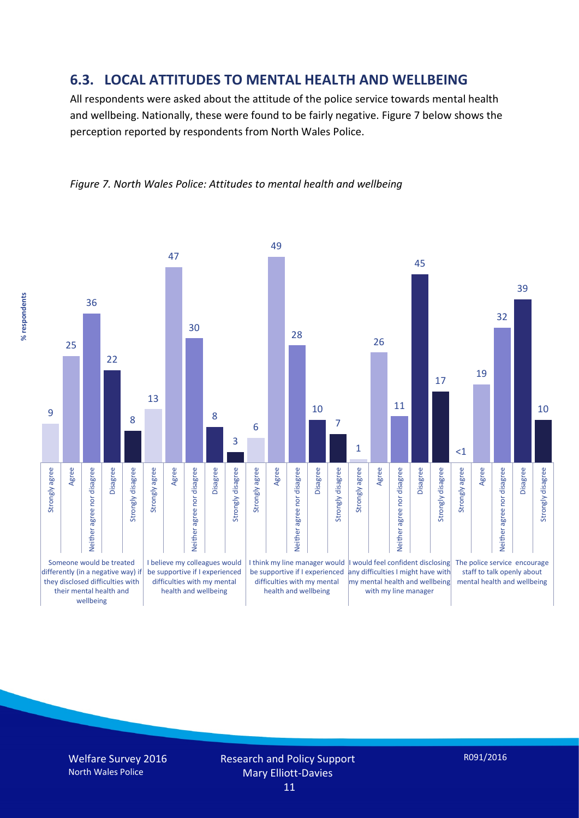#### **6.3. LOCAL ATTITUDES TO MENTAL HEALTH AND WELLBEING**

All respondents were asked about the attitude of the police service towards mental health and wellbeing. Nationally, these were found to be fairly negative. Figure 7 below shows the perception reported by respondents from North Wales Police.



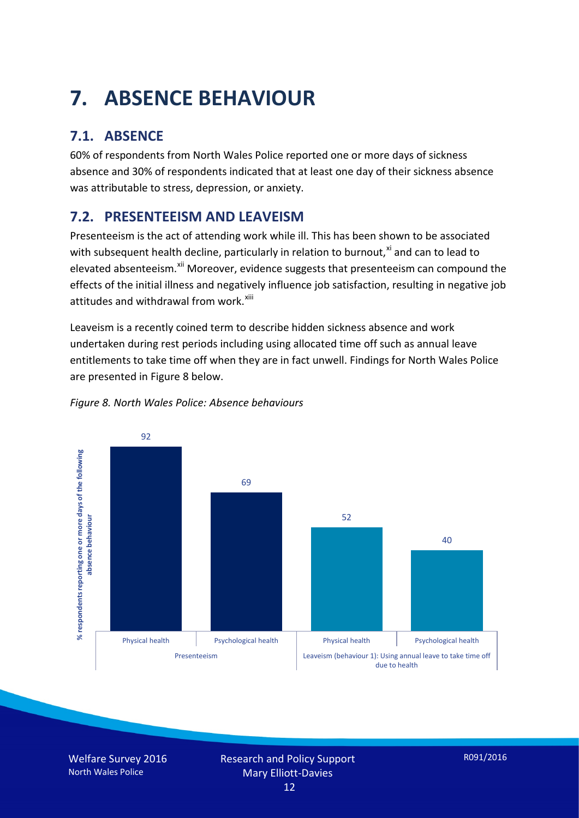## **7. ABSENCE BEHAVIOUR**

### **7.1. ABSENCE**

60% of respondents from North Wales Police reported one or more days of sickness absence and 30% of respondents indicated that at least one day of their sickness absence was attributable to stress, depression, or anxiety.

### **7.2. PRESENTEEISM AND LEAVEISM**

Presenteeism is the act of attending work while ill. This has been shown to be associated with subsequent health decline, particularly in relation to burnout, $x_i$  and can to lead to elevated absenteeism.<sup>[xii](#page-16-1)</sup> Moreover, evidence suggests that presenteeism can compound the effects of the initial illness and negatively influence job satisfaction, resulting in negative job attitudes and withdrawal from work.<sup>[xiii](#page-16-2)</sup>

Leaveism is a recently coined term to describe hidden sickness absence and work undertaken during rest periods including using allocated time off such as annual leave entitlements to take time off when they are in fact unwell. Findings for North Wales Police are presented in Figure 8 below.



#### *Figure 8. North Wales Police: Absence behaviours*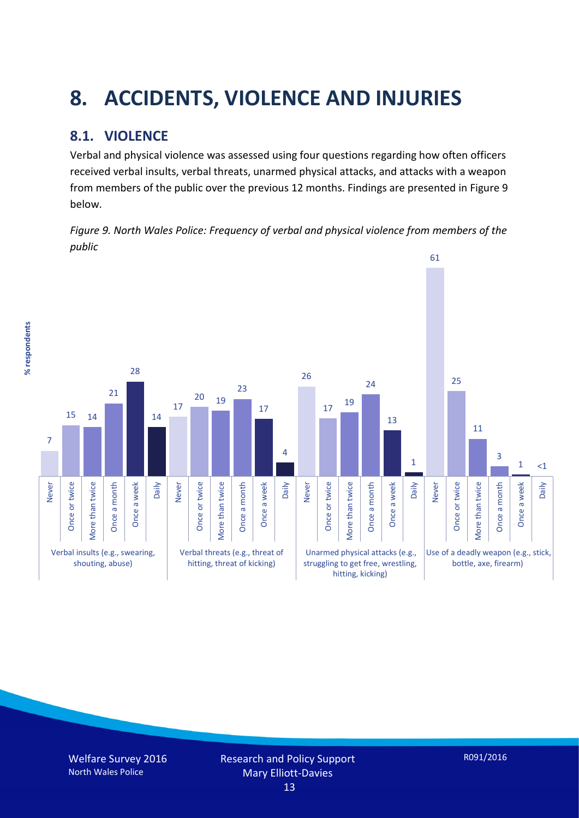## **8. ACCIDENTS, VIOLENCE AND INJURIES**

### **8.1. VIOLENCE**

% respondents **% respondents**

Verbal and physical violence was assessed using four questions regarding how often officers received verbal insults, verbal threats, unarmed physical attacks, and attacks with a weapon from members of the public over the previous 12 months. Findings are presented in Figure 9 below.

*Figure 9. North Wales Police: Frequency of verbal and physical violence from members of the public*

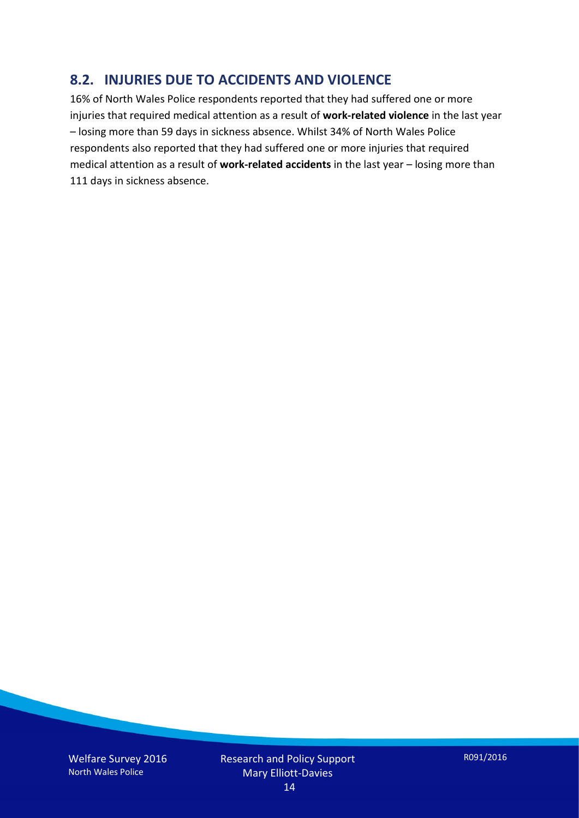#### **8.2. INJURIES DUE TO ACCIDENTS AND VIOLENCE**

16% of North Wales Police respondents reported that they had suffered one or more injuries that required medical attention as a result of **work-related violence** in the last year – losing more than 59 days in sickness absence. Whilst 34% of North Wales Police respondents also reported that they had suffered one or more injuries that required medical attention as a result of **work-related accidents** in the last year – losing more than 111 days in sickness absence.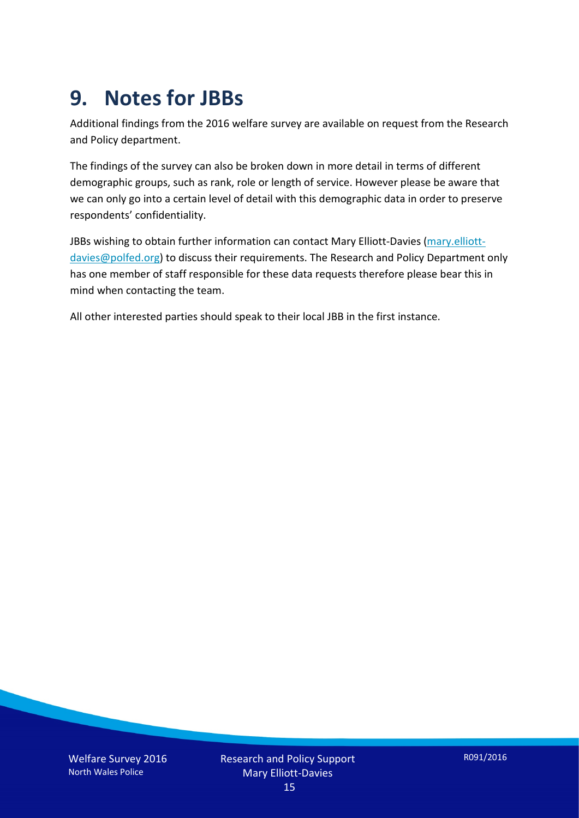### **9. Notes for JBBs**

Additional findings from the 2016 welfare survey are available on request from the Research and Policy department.

The findings of the survey can also be broken down in more detail in terms of different demographic groups, such as rank, role or length of service. However please be aware that we can only go into a certain level of detail with this demographic data in order to preserve respondents' confidentiality.

JBBs wishing to obtain further information can contact Mary Elliott-Davies [\(mary.elliott](mailto:mary.elliott-davies@polfed.org)[davies@polfed.org\)](mailto:mary.elliott-davies@polfed.org) to discuss their requirements. The Research and Policy Department only has one member of staff responsible for these data requests therefore please bear this in mind when contacting the team.

All other interested parties should speak to their local JBB in the first instance.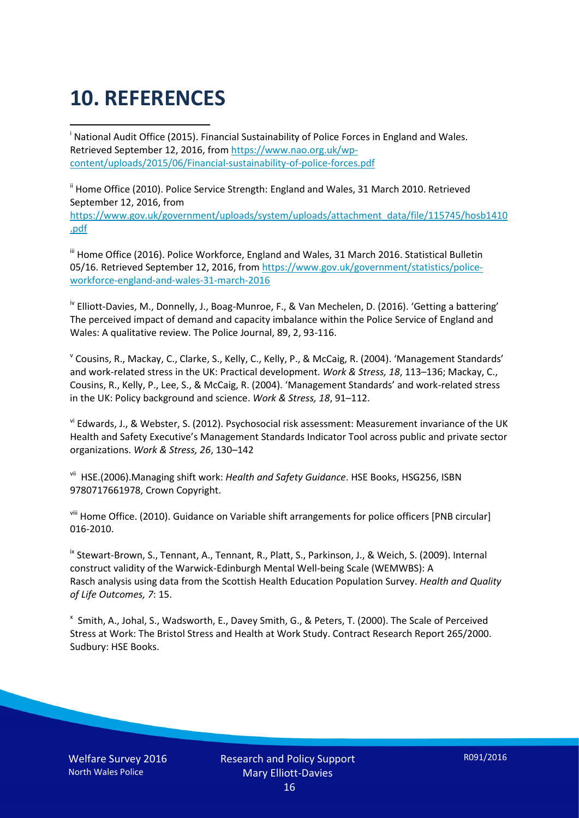## **10. REFERENCES**

<span id="page-15-0"></span>i National Audit Office (2015). Financial Sustainability of Police Forces in England and Wales. Retrieved September 12, 2016, fro[m https://www.nao.org.uk/wp](https://www.nao.org.uk/wp-content/uploads/2015/06/Financial-sustainability-of-police-forces.pdf)[content/uploads/2015/06/Financial-sustainability-of-police-forces.pdf](https://www.nao.org.uk/wp-content/uploads/2015/06/Financial-sustainability-of-police-forces.pdf)

<span id="page-15-1"></span><sup>ii</sup> Home Office (2010). Police Service Strength: England and Wales, 31 March 2010. Retrieved September 12, 2016, from [https://www.gov.uk/government/uploads/system/uploads/attachment\\_data/file/115745/hosb1410](https://www.gov.uk/government/uploads/system/uploads/attachment_data/file/115745/hosb1410.pdf) [.pdf](https://www.gov.uk/government/uploads/system/uploads/attachment_data/file/115745/hosb1410.pdf)

<span id="page-15-2"></span><sup>iii</sup> Home Office (2016). Police Workforce, England and Wales, 31 March 2016. Statistical Bulletin 05/16. Retrieved September 12, 2016, fro[m https://www.gov.uk/government/statistics/police](https://www.gov.uk/government/statistics/police-workforce-england-and-wales-31-march-2016)[workforce-england-and-wales-31-march-2016](https://www.gov.uk/government/statistics/police-workforce-england-and-wales-31-march-2016)

<span id="page-15-3"></span><sup>iv</sup> Elliott-Davies, M., Donnelly, J., Boag-Munroe, F., & Van Mechelen, D. (2016). 'Getting a battering' The perceived impact of demand and capacity imbalance within the Police Service of England and Wales: A qualitative review. The Police Journal, 89, 2, 93-116.

<span id="page-15-4"></span><sup>v</sup> Cousins, R., Mackay, C., Clarke, S., Kelly, C., Kelly, P., & McCaig, R. (2004). 'Management Standards' and work-related stress in the UK: Practical development. *Work & Stress, 18*, 113–136; Mackay, C., Cousins, R., Kelly, P., Lee, S., & McCaig, R. (2004). 'Management Standards' and work-related stress in the UK: Policy background and science. *Work & Stress, 18*, 91–112.

<span id="page-15-5"></span>vi Edwards, J., & Webster, S. (2012). Psychosocial risk assessment: Measurement invariance of the UK Health and Safety Executive's Management Standards Indicator Tool across public and private sector organizations. *Work & Stress, 26*, 130–142

<span id="page-15-6"></span>vii HSE.(2006).Managing shift work: *Health and Safety Guidance*. HSE Books, HSG256, ISBN 9780717661978, Crown Copyright.

<span id="page-15-7"></span>viii Home Office. (2010). Guidance on Variable shift arrangements for police officers [PNB circular] 016-2010.

<span id="page-15-8"></span><sup>ix</sup> Stewart-Brown, S., Tennant, A., Tennant, R., Platt, S., Parkinson, J., & Weich, S. (2009). Internal construct validity of the Warwick-Edinburgh Mental Well-being Scale (WEMWBS): A Rasch analysis using data from the Scottish Health Education Population Survey. *Health and Quality of Life Outcomes, 7*: 15.

<span id="page-15-9"></span>x Smith, A., Johal, S., Wadsworth, E., Davey Smith, G., & Peters, T. (2000). The Scale of Perceived Stress at Work: The Bristol Stress and Health at Work Study. Contract Research Report 265/2000. Sudbury: HSE Books.